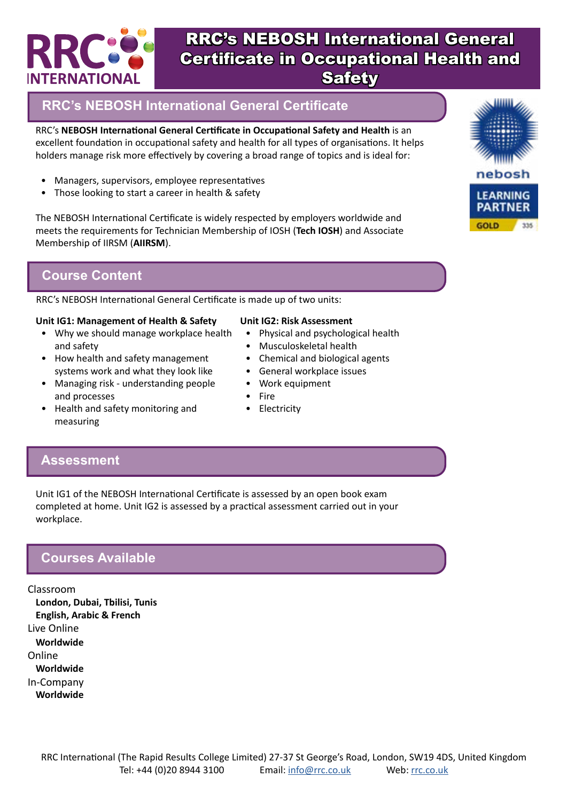

## **RRC's NEBOSH International General Certificate**

RRC's **NEBOSH International General Certificate in Occupational Safety and Health** is an excellent foundation in occupational safety and health for all types of organisations. It helps holders manage risk more effectively by covering a broad range of topics and is ideal for:

- Managers, supervisors, employee representatives
- Those looking to start a career in health & safety

The NEBOSH International Certificate is widely respected by employers worldwide and meets the requirements for Technician Membership of IOSH (**Tech IOSH**) and Associate Membership of IIRSM (**AIIRSM**).

#### **Course Content**

RRC's NEBOSH International General Certificate is made up of two units:

#### **Unit IG1: Management of Health & Safety**

- Why we should manage workplace health and safety
- How health and safety management systems work and what they look like
- Managing risk understanding people and processes
- **Unit IG2: Risk Assessment** • Physical and psychological health
	- Musculoskeletal health
	- Chemical and biological agents
	- General workplace issues
	- Work equipment
	- **Fire**
	- **Electricity**
- Health and safety monitoring and measuring

#### **Assessment**

Unit IG1 of the NEBOSH International Certificate is assessed by an open book exam completed at home. Unit IG2 is assessed by a practical assessment carried out in your workplace.

#### **Courses Available**

Classroom **London, Dubai, Tbilisi, Tunis English, Arabic & French** Live Online **Worldwide** Online **Worldwide** In-Company **Worldwide**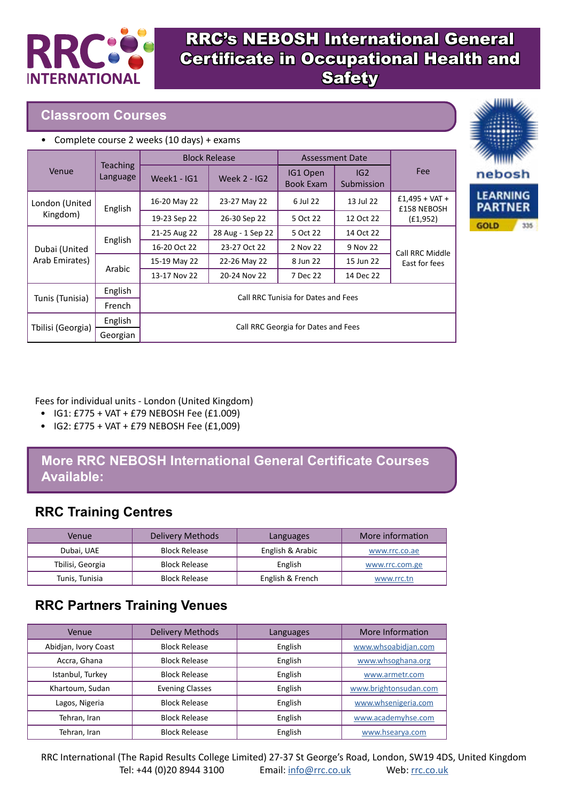

#### **Classroom Courses**

|  | • Complete course 2 weeks (10 days) + exams |  |  |  |
|--|---------------------------------------------|--|--|--|
|--|---------------------------------------------|--|--|--|

|                   | <b>Teaching</b><br>Language | <b>Block Release</b>                |                     | <b>Assessment Date</b>       |                   |                                 |
|-------------------|-----------------------------|-------------------------------------|---------------------|------------------------------|-------------------|---------------------------------|
| Venue             |                             | Week1 - IG1                         | <b>Week 2 - IG2</b> | IG1 Open<br><b>Book Exam</b> | IG2<br>Submission | Fee                             |
| London (United    | English                     | 16-20 May 22                        | 23-27 May 22        | 6 Jul 22                     | 13 Jul 22         | $£1,495 + VAT +$<br>£158 NEBOSH |
| Kingdom)          |                             | 19-23 Sep 22                        | 26-30 Sep 22        | 5 Oct 22                     | 12 Oct 22         | (£1,952)                        |
|                   | English                     | 21-25 Aug 22                        | 28 Aug - 1 Sep 22   | 5 Oct 22                     | 14 Oct 22         | Call RRC Middle                 |
| Dubai (United     |                             | 16-20 Oct 22                        | 23-27 Oct 22        | 2 Nov 22                     | 9 Nov 22          |                                 |
| Arab Emirates)    | Arabic                      | 15-19 May 22                        | 22-26 May 22        | 8 Jun 22                     | 15 Jun 22         | East for fees                   |
|                   |                             | 13-17 Nov 22                        | 20-24 Nov 22        | 7 Dec 22                     | 14 Dec 22         |                                 |
|                   | English                     |                                     |                     |                              |                   |                                 |
| Tunis (Tunisia)   | French                      | Call RRC Tunisia for Dates and Fees |                     |                              |                   |                                 |
|                   | English                     | Call RRC Georgia for Dates and Fees |                     |                              |                   |                                 |
| Tbilisi (Georgia) | Georgian                    |                                     |                     |                              |                   |                                 |



#### Fees for individual units - London (United Kingdom)

- IG1: £775 + VAT + £79 NEBOSH Fee (£1.009)
- IG2: £775 + VAT + £79 NEBOSH Fee (£1,009)

### **More RRC NEBOSH International General Certificate Courses Available:**

## **RRC Training Centres**

| Venue            | Delivery Methods     | Languages        | More information |
|------------------|----------------------|------------------|------------------|
| Dubai, UAE       | <b>Block Release</b> | English & Arabic | www.rrc.co.ae    |
| Tbilisi, Georgia | <b>Block Release</b> | English          | www.rrc.com.ge   |
| Tunis, Tunisia   | <b>Block Release</b> | English & French | www.rrc.tn       |

## **RRC Partners Training Venues**

| Venue                | <b>Delivery Methods</b> | Languages | More Information      |
|----------------------|-------------------------|-----------|-----------------------|
| Abidjan, Ivory Coast | <b>Block Release</b>    | English   | www.whsoabidjan.com   |
| Accra, Ghana         | <b>Block Release</b>    | English   | www.whsoghana.org     |
| Istanbul, Turkey     | <b>Block Release</b>    | English   | www.armetr.com        |
| Khartoum, Sudan      | <b>Evening Classes</b>  | English   | www.brightonsudan.com |
| Lagos, Nigeria       | <b>Block Release</b>    | English   | www.whsenigeria.com   |
| Tehran, Iran         | <b>Block Release</b>    | English   | www.academyhse.com    |
| Tehran, Iran         | <b>Block Release</b>    | English   | www.hsearya.com       |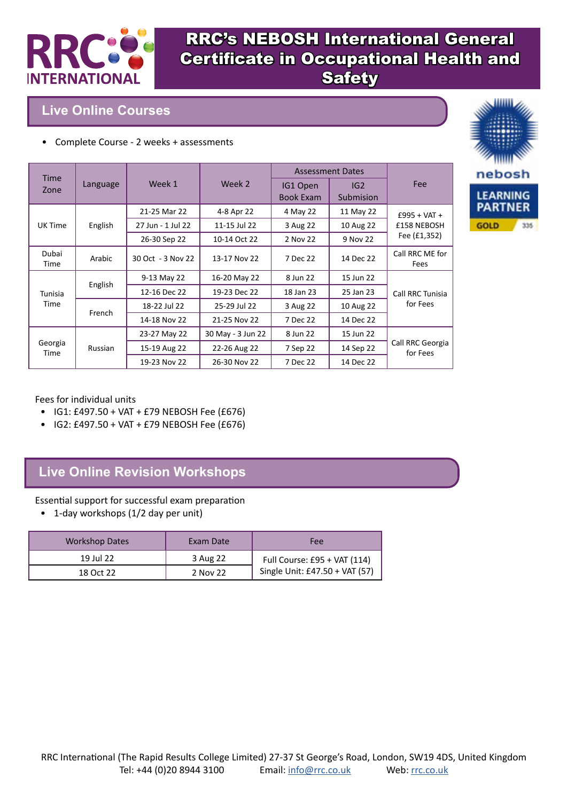

#### **Live Online Courses**

• Complete Course - 2 weeks + assessments

|                     | Language | Week 1<br>Week 2  |                              | <b>Assessment Dates</b> |           | <b>Fee</b>                    |
|---------------------|----------|-------------------|------------------------------|-------------------------|-----------|-------------------------------|
| <b>Time</b><br>Zone |          |                   | IG1 Open<br><b>Book Exam</b> | IG2<br>Submision        |           |                               |
|                     |          | 21-25 Mar 22      | 4-8 Apr 22                   | 4 May 22                | 11 May 22 | $£995 + VAT +$<br>£158 NEBOSH |
| UK Time             | English  | 27 Jun - 1 Jul 22 | 11-15 Jul 22                 | 3 Aug 22                | 10 Aug 22 |                               |
|                     |          | 26-30 Sep 22      | 10-14 Oct 22                 | 2 Nov 22                | 9 Nov 22  | Fee (£1,352)                  |
| Dubai<br>Time       | Arabic   | 30 Oct - 3 Nov 22 | 13-17 Nov 22                 | 7 Dec 22                | 14 Dec 22 | Call RRC ME for<br>Fees       |
|                     | English  | 9-13 May 22       | 16-20 May 22                 | 8 Jun 22                | 15 Jun 22 |                               |
| Tunisia             |          | 12-16 Dec 22      | 19-23 Dec 22                 | 18 Jan 23               | 25 Jan 23 | Call RRC Tunisia              |
| Time                |          | 18-22 Jul 22      | 25-29 Jul 22                 | 3 Aug 22                | 10 Aug 22 | for Fees                      |
|                     | French   | 14-18 Nov 22      | 21-25 Nov 22                 | 7 Dec 22                | 14 Dec 22 |                               |
|                     | Russian  | 23-27 May 22      | 30 May - 3 Jun 22            | 8 Jun 22                | 15 Jun 22 |                               |
| Georgia<br>Time     |          | 15-19 Aug 22      | 22-26 Aug 22                 | 7 Sep 22                | 14 Sep 22 | Call RRC Georgia<br>for Fees  |
|                     |          | 19-23 Nov 22      | 26-30 Nov 22                 | 7 Dec 22                | 14 Dec 22 |                               |



Fees for individual units

- IG1: £497.50 + VAT + £79 NEBOSH Fee (£676)
- IG2: £497.50 + VAT + £79 NEBOSH Fee (£676)

## **Live Online Revision Workshops**

Essential support for successful exam preparation

• 1-day workshops (1/2 day per unit)

| <b>Workshop Dates</b> | Exam Date | Fee                            |
|-----------------------|-----------|--------------------------------|
| 19 Jul 22             | 3 Aug 22  | Full Course: £95 + VAT (114)   |
| 18 Oct 22             | 2 Nov 22  | Single Unit: £47.50 + VAT (57) |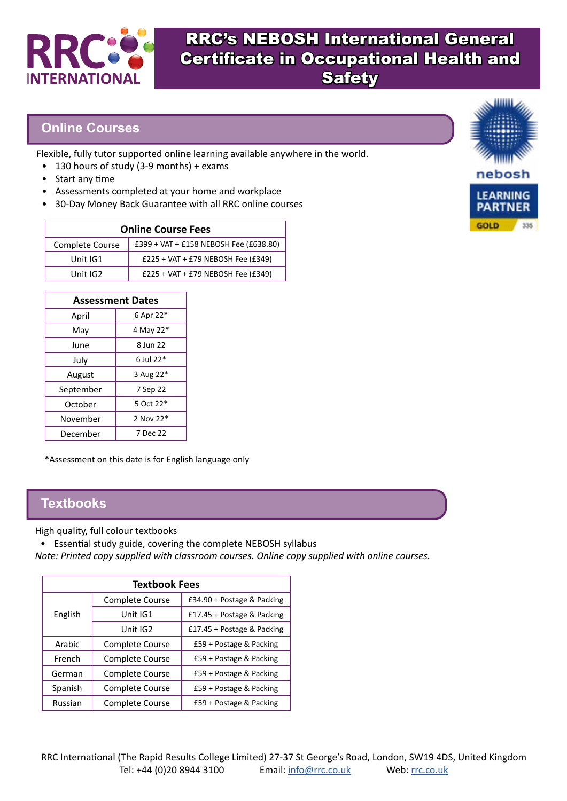

#### **Online Courses**

Flexible, fully tutor supported online learning available anywhere in the world.

- 130 hours of study (3-9 months) + exams
- Start any time
- Assessments completed at your home and workplace
- 30-Day Money Back Guarantee with all RRC online courses

| <b>Online Course Fees</b> |                                        |  |  |
|---------------------------|----------------------------------------|--|--|
| Complete Course           | £399 + VAT + £158 NEBOSH Fee (£638.80) |  |  |
| Unit IG1                  | £225 + VAT + £79 NEBOSH Fee (£349)     |  |  |
| Unit IG2                  | £225 + VAT + £79 NEBOSH Fee (£349)     |  |  |

| <b>Assessment Dates</b> |           |  |  |
|-------------------------|-----------|--|--|
| April                   | 6 Apr 22* |  |  |
| Mav                     | 4 May 22* |  |  |
| June                    | 8 Jun 22  |  |  |
| July                    | 6 Jul 22* |  |  |
| August                  | 3 Aug 22* |  |  |
| September               | 7 Sep 22  |  |  |
| October                 | 5 Oct 22* |  |  |
| November                | 2 Nov 22* |  |  |
| December                | 7 Dec 22  |  |  |

\*Assessment on this date is for English language only

#### **Textbooks**

High quality, full colour textbooks

• Essential study guide, covering the complete NEBOSH syllabus

*Note: Printed copy supplied with classroom courses. Online copy supplied with online courses.*

| <b>Textbook Fees</b> |                 |                            |  |  |  |
|----------------------|-----------------|----------------------------|--|--|--|
|                      | Complete Course | £34.90 + Postage & Packing |  |  |  |
| English              | Unit IG1        | £17.45 + Postage & Packing |  |  |  |
|                      | Unit IG2        | £17.45 + Postage & Packing |  |  |  |
| Arabic               | Complete Course | £59 + Postage & Packing    |  |  |  |
| French               | Complete Course | £59 + Postage & Packing    |  |  |  |
| German               | Complete Course | £59 + Postage & Packing    |  |  |  |
| Spanish              | Complete Course | £59 + Postage & Packing    |  |  |  |
| Russian              | Complete Course | £59 + Postage & Packing    |  |  |  |